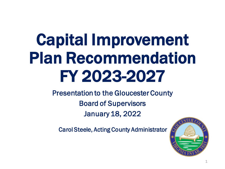# Capital Improvement Plan Recommendation FY 2023-2027

Presentation to the Gloucester County Board of Supervisors January 18, 2022

Carol Steele, Acting County Administrator

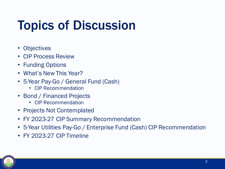## Topics of Discussion

- Objectives
- CIP Process Review
- Funding Options
- What's New This Year?
- 5-Year Pay-Go / General Fund (Cash)
	- CIP Recommendation
- Bond / Financed Projects
	- CIP Recommendation
- Projects Not Contemplated
- FY 2023-27 CIP Summary Recommendation
- 5-Year Utilities Pay-Go / Enterprise Fund (Cash) CIP Recommendation
- FY 2023-27 CIP Timeline

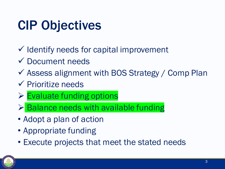## CIP Objectives

- ✓ Identify needs for capital improvement
- ✓ Document needs
- $\checkmark$  Assess alignment with BOS Strategy / Comp Plan
- ✓ Prioritize needs
- ➢ Evaluate funding options
- $\triangleright$  Balance needs with available funding
- Adopt a plan of action
- Appropriate funding
- Execute projects that meet the stated needs

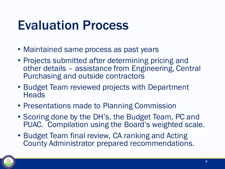### Evaluation Process

- Maintained same process as past years
- Projects submitted after determining pricing and other details – assistance from Engineering, Central Purchasing and outside contractors
- Budget Team reviewed projects with Department **Heads**
- Presentations made to Planning Commission
- Scoring done by the DH's, the Budget Team, PC and PUAC. Compilation using the Board's weighted scale.
- Budget Team final review, CA ranking and Acting County Administrator prepared recommendations.

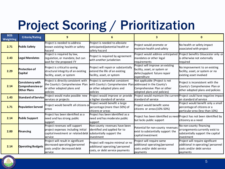## Project Scoring / Prioritization

| <b>BOS</b><br><b>Weighting</b> | <b>Criteria/Rating</b>                              | 9                                                                                                                                                      | 6                                                                                                                                      | 3                                                                                                                |                                                                                                                 |
|--------------------------------|-----------------------------------------------------|--------------------------------------------------------------------------------------------------------------------------------------------------------|----------------------------------------------------------------------------------------------------------------------------------------|------------------------------------------------------------------------------------------------------------------|-----------------------------------------------------------------------------------------------------------------|
| 2.71                           | <b>Public Safety</b>                                | Project is needed to address<br>known existing health or safety<br>hazard                                                                              | Project is needed to alleviate<br>anticipated/potential health or<br>safety hazard                                                     | Project would promote or<br>maintain health and safety                                                           | No health or safety impact<br>associated with project                                                           |
| 2.43                           | Legal Mandates                                      | Project is required by law,<br>regulation, or mandate, but can<br>wait for the proposed FY                                                             | Project is required by agreement<br>with another jurisdiction                                                                          | Project would address anticipated<br>mandates or other legal<br>requirements                                     | Project benefits Gloucester only or<br>is otherwise not externally<br>required                                  |
| 2.29                           | Protection of<br>Capital                            | Project is critical to saving<br>structural integrity of an existing<br>facility, asset, or system                                                     | Project will repair or substantially<br>extend the life of an existing<br>facility, asset, or system                                   | Project will improve an existing<br>facility, asset, or system or<br>defer/supplant future repair<br>expenditure | No improvement to an existing<br>facility, asset, or system or no<br>existing asset involved                    |
| 2.14                           | Consistency with<br>Comprehensive or<br>Other Plans | Project is directly consistent with<br>the County's Comprehensive Plan<br>or other adopted plans and<br>policies                                       | Project is somewhat consistent<br>with County's Comprehensive Plan addressed in the County's<br>or other adopted plans and<br>policies | Not applicable (Project is not<br>Comprehensive Plan or other<br>adopted plans and policies)                     | Project is inconsistent with the<br>County's Comprehensive Plan or<br>other adopted plans and policies          |
| 1.43                           | <b>Standard of Service</b>                          | Project would make possible new<br>services or projects                                                                                                | Project would improve or provide<br>a higher standard of service                                                                       | standard of service                                                                                              | Project would maintain the current Project could have negative impact<br>on standard of service                 |
| 1.71                           | Population Served                                   | Project would benefit all citizens or<br><b>l</b> areas                                                                                                | Project would benefit a large<br>percentage (more than 50%) of<br>citizens or areas                                                    | Project would benefit some<br>citizens or areas (10%-50%)                                                        | Project would benefit only a small<br>percentage of citizens or a<br>particular area (less than 10%)            |
| 2.14                           | <b>Public Support</b>                               | Project has been identified as a<br>need and has strong public<br>support                                                                              | Project has been identified as a<br>need and has moderate public<br>support                                                            | Project has been identified as need Project has not been identified by<br>but lacks public support               | citizenry as a need                                                                                             |
| 2.00                           | <b>Financing</b>                                    | Project revenues will support<br>project expenses including initial<br>capital investment or related debt substantially support the<br><b>s</b> ervice | Non-county revenues have been<br>identified and applied for to<br>investment                                                           | Potential for non-county revenues<br>exist to substantially support the<br>capital investment                    | No non-county financing<br>arrangements currently exist to<br>substantially support the capital<br>investment   |
| 2.14                           | <b>Operating Budgets</b>                            | Project will result in significant<br>decreased operating/personnel<br>costs and/or decreased debt<br>service                                          | Project will require minimal or no<br>additional operating/personnel<br>costs, or debt service payments                                | Project will require some<br>additional operating/personnel<br>costs and/or debt service<br>payments             | Project will require significant<br>additional in operating/ personnel<br>costs and/or debt service<br>payments |

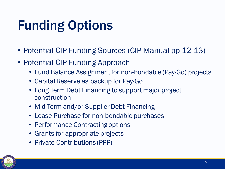## Funding Options

- Potential CIP Funding Sources (CIP Manual pp 12-13)
- Potential CIP Funding Approach
	- Fund Balance Assignment for non-bondable (Pay-Go) projects
	- Capital Reserve as backup for Pay-Go
	- Long Term Debt Financing to support major project construction
	- Mid Term and/or Supplier Debt Financing
	- Lease-Purchase for non-bondable purchases
	- Performance Contracting options
	- Grants for appropriate projects
	- Private Contributions (PPP)

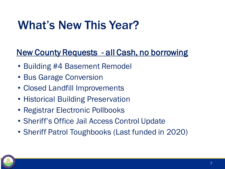#### What's New This Year?

#### New County Requests - all Cash, no borrowing

- Building #4 Basement Remodel
- Bus Garage Conversion
- Closed Landfill Improvements
- Historical Building Preservation
- Registrar Electronic Pollbooks
- Sheriff's Office Jail Access Control Update
- Sheriff Patrol Toughbooks (Last funded in 2020)

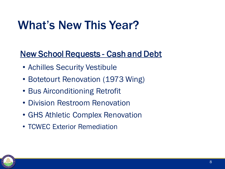#### What's New This Year?

#### New School Requests - Cash and Debt

- Achilles Security Vestibule
- Botetourt Renovation (1973 Wing)
- Bus Airconditioning Retrofit
- Division Restroom Renovation
- GHS Athletic Complex Renovation
- TCWEC Exterior Remediation

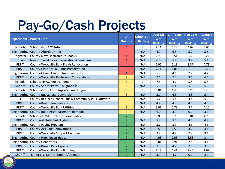## Pay-Go/Cash Projects

| <b>Department</b>      | <b>Project Title</b>                                  | <b>CA</b><br><b>Quartile</b> | Schools 1-<br>9 Ranking | <b>Dept Dir</b><br><b>Wtd</b><br><b>Ranking</b> | <b>CIP Team</b><br><b>Wtd</b><br><b>Ranking</b> | <b>Plan Com</b><br>Wtd<br><b>Ranking</b> | <b>Average</b><br><b>Wtd</b><br><b>Ranking</b> |
|------------------------|-------------------------------------------------------|------------------------------|-------------------------|-------------------------------------------------|-------------------------------------------------|------------------------------------------|------------------------------------------------|
| Schools                | Schools-Bus A/C Retro                                 | 4                            | 3                       | 7.11                                            | 5.13                                            | 4.69                                     | 5.65                                           |
| Engineering            | County-Aberdeen Pier                                  | 4                            | N/A                     | 4.9                                             | 6.5                                             | 5.2                                      | 5.5                                            |
| Registrar              | County-New Electronic Pollbooks                       | 4                            | N/A                     | 4.76                                            | 5.51                                            | 5.45                                     | 5.24                                           |
| Library                | New Library/Library Renovation & Purchase             | 4                            | N/A                     | 6.0                                             | 5.7                                             | 3.7                                      | 5.1                                            |
| PR&T                   | County-Woodville Park Fields Renovation               | 4                            | N/A                     | 5.06                                            | 5.18                                            | 3.87                                     | 4.71                                           |
| PR&T                   | County-Historical Building Preservation               | 4                            | N/A                     | 7.11                                            | 6.06                                            | $\mathbf{0}$                             | 4.39                                           |
|                        | Engineering County-Closed Landfill Improvements       | $\overline{4}$               | N/A                     | 5.9                                             | 4.1                                             | 2.7                                      | 4.2                                            |
| PR&T                   | County-Woodville Restrooms Concessions                | 3                            | N/A                     | 7.1                                             | 7.4                                             | 3.6                                      | 6.0                                            |
| Schools                | Schools-HVAC Replacement                              | 3                            | $\overline{2}$          | 7.5                                             | 4.1                                             | 5.8                                      | 5.8                                            |
| Sheriff                | County-Sheriff Patrol Toughbooks                      | 3                            | N/A                     | 5.1                                             | 6.4                                             | 5.9                                      | 5.8                                            |
| Schools                | Schools-School Bus Replacement Program                | 3                            | 5                       | 6.81                                            | 4.43                                            | 5.20                                     | 5.48                                           |
| Engineering            | County-Bus Garage Conversion                          | 3                            | N/A                     | 5.1                                             | 6.3                                             | 4.8                                      | 5.4                                            |
| $\mathsf{I}\mathsf{T}$ | County-Replace Finance Plus & Community Plus Software | 3                            | N/A                     | 5.7                                             | 5.4                                             | 4.4                                      | 5.2                                            |
| PR&T                   | County-Beach Renovations                              | 3                            | N/A                     | 4.2                                             | 4.8                                             | 4.6                                      | 4.5                                            |
| PR&T                   | County-Woodville Park Utilities                       | 3                            | N/A                     | 3.01                                            | 5.78                                            | 3.7                                      | 4.16                                           |
| Engineering            | County-Building #4 Basement Remodel                   | 3                            | N/A                     | 6.0                                             | 3.9                                             | 0.0                                      | 3.3                                            |
| Schools                | Schools-TCWEC Exterior Remediation                    | $\overline{2}$               | 6                       | 5.99                                            | 3.28                                            | 5.01                                     | 4.76                                           |
| PR&T                   | County-Athletic Field Lighting                        | $\overline{2}$               | N/A                     | 5.3                                             | 5.0                                             | 4.0                                      | 4.8                                            |
|                        | Engineering County-Paving Program                     | $\overline{2}$               | N/A                     | 3.7                                             | 5.3                                             | 4.6                                      | 4.6                                            |
| PR&T                   | County-Ark Park Renovations                           | $\overline{2}$               | N/A                     | 3.53                                            | 4.56                                            | 4.2                                      | 4.1                                            |
| PR&T                   | County-Woodville Support Facilities                   | $\overline{2}$               | N/A                     | 3.2                                             | 4.2                                             | 2.9                                      | 3.4                                            |
| Engineering            | County-Hutchinson House                               | $\overline{2}$               | N/A                     | 4.03                                            | 2.63                                            | 3.53                                     | 3.4                                            |
|                        | Engineering County-Generators                         | $\overline{2}$               | N/A                     | 4.01                                            | 2.91                                            | 2.4                                      | 3.1                                            |
| PR&T                   | County-Brown Park Expansion                           | $\overline{2}$               | N/A                     | 2.0                                             | 4.2                                             | 2.9                                      | 3.0                                            |
| PR&T                   | County-Woodville Park Building                        | $\overline{2}$               | N/A                     | 2.13                                            | 4.41                                            | 2.45                                     | 2.99                                           |
| Sheriff                | Jail Access Control Update/Upgrade                    | $\overline{2}$               | N/A                     | 3.9                                             | 4.7                                             | 0.0                                      | 2.9                                            |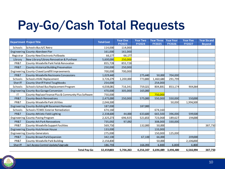## Pay-Go/Cash Total Requests

| <b>Department Project Title</b> |                                                       | <b>Total Cost</b> | <b>Year One</b><br><b>FY2023</b> | <b>Year Two</b><br><b>FY2024</b> | <b>Year Three</b><br><b>FY2025</b> | <b>Year Four</b><br><b>FY2026</b> | <b>Year Five</b><br><b>FY2027</b> | <b>Year Six and</b><br><b>Bevond</b> |
|---------------------------------|-------------------------------------------------------|-------------------|----------------------------------|----------------------------------|------------------------------------|-----------------------------------|-----------------------------------|--------------------------------------|
| Schools                         | Schools-Bus A/C Retro                                 | 114,000           | 114,000                          |                                  |                                    |                                   |                                   |                                      |
|                                 | Engineering County-Aberdeen Pier                      | 161,000           | 161,000                          |                                  |                                    |                                   |                                   |                                      |
| Registrar                       | County-New Electronic Pollbooks                       | 66,177            | 66,177                           |                                  |                                    |                                   |                                   |                                      |
| Library                         | New Library/Library Renovation & Purchase             | 5,600,000         | 250,000                          |                                  |                                    |                                   |                                   |                                      |
| PR&T                            | County-Woodville Park Fields Renovation               | 855,728           | 855,728                          |                                  |                                    |                                   |                                   |                                      |
| PR&T                            | County-Historical Building Preservation               | 250,000           | 250,000                          |                                  |                                    |                                   |                                   |                                      |
|                                 | Engineering County-Closed Landfill Improvements       | 700,000           | 700,000                          |                                  |                                    |                                   |                                   |                                      |
| PR&T                            | County-Woodville Restrooms Concessions                | 1,029,440         |                                  | 275,440                          | 50,000                             | 704,000                           |                                   |                                      |
| Schools                         | Schools-HVAC Replacement                              | 3,726,279         | 1,200,000                        | 773,800                          | 1,460,680                          | 291,799                           |                                   |                                      |
| Sheriff                         | County-Sheriff Patrol Toughbooks                      | 254,000           |                                  |                                  | 254,000                            |                                   |                                   |                                      |
| Schools                         | Schools-School Bus Replacement Program                | 4,038,081         | 716,341                          | 759,321                          | 804,881                            | 853,174                           | 904,364                           |                                      |
|                                 | Engineering County-Bus Garage Conversion              | 470,000           | 305,000                          | 165,000                          |                                    |                                   |                                   |                                      |
| ΙT                              | County-Replace Finance Plus & Community Plus Software | 750,000           |                                  |                                  | 750,000                            |                                   |                                   |                                      |
| PR&T                            | County-Beach Renovations                              | 2,475,000         | 250,000                          | 575,000                          | 550,000                            | 550,000                           | 550,000                           |                                      |
| PR&T                            | County-Woodville Park Utilities                       | 2,046,500         |                                  |                                  |                                    | 50,000                            | 1,996,500                         |                                      |
|                                 | Engineering County-Building#4 Basement Remodel        | 187,000           |                                  | 187,000                          |                                    |                                   |                                   |                                      |
| Schools                         | Schools-TCWEC Exterior Remediation                    | 674,160           |                                  |                                  | 674,160                            |                                   |                                   |                                      |
| PR&T                            | County-Athletic Field Lighting                        | 2,338,600         | 44,000                           | 633,600                          | 665,500                            | 396,000                           | 599,500                           |                                      |
|                                 | Engineering County-Paving Program                     | 2,325,273         | 696,925                          | 521,653                          | 723,068                            | 189,627                           | 194,000                           |                                      |
| PR&T                            | County-Ark Park Renovations                           | 735,092           | 97,092                           |                                  | 308,000                            | 330,000                           |                                   |                                      |
| PR&T                            | County-Woodville Support Facilities                   | 569,750           |                                  | 132,000                          | 50,000                             |                                   |                                   | 387,750                              |
|                                 | Engineering County-Hutchinson House                   | 133,000           |                                  |                                  | 133,000                            |                                   |                                   |                                      |
|                                 | Engineering County-Generators                         | 275,000           |                                  |                                  | 150,000                            | 125,000                           |                                   |                                      |
| PR&T                            | County-Brown Park Expansion                           | 342,100           |                                  | 67,100                           | 66,000                             |                                   | 209,000                           |                                      |
| PR&T                            | County-Woodville Park Building                        | 2,156,830         |                                  |                                  | 50,000                             |                                   | 2,106,830                         |                                      |
| Sheriff                         | Jail Access Control Update/Upgrade                    | 186,793           |                                  | 166,393                          | 6,800                              | 6,800                             | 6,800                             |                                      |
|                                 | <b>Total Pay-Go</b>                                   | 32,459,803        | 5,706,263                        | 4,256,307                        |                                    | 6,696,089 3,496,400               | 6,566,994                         | 387,750                              |

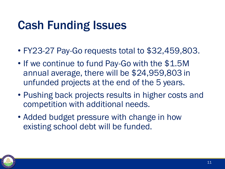#### Cash Funding Issues

- FY23-27 Pay-Go requests total to \$32,459,803.
- If we continue to fund Pay-Go with the \$1.5M annual average, there will be \$24,959,803 in unfunded projects at the end of the 5 years.
- Pushing back projects results in higher costs and competition with additional needs.
- Added budget pressure with change in how existing school debt will be funded.

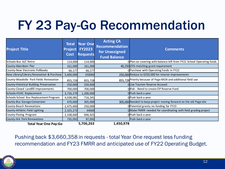## FY 23 Pay-Go Recommendation

| <b>Project Title</b>                      | <b>Total</b><br><b>Project</b><br>Cost | <b>Year One</b><br><b>FY2023</b><br><b>Requests</b> | <b>Acting CA</b><br><b>Recommendation</b><br>for Unassigned<br><b>Fund Balance</b> | <b>Comments</b>                                                      |  |  |
|-------------------------------------------|----------------------------------------|-----------------------------------------------------|------------------------------------------------------------------------------------|----------------------------------------------------------------------|--|--|
| Schools-Bus A/C Retro                     | 114,000                                | 114,000                                             |                                                                                    | OPlan on covering with balance left from FY22 School Operating funds |  |  |
| County-Aberdeen Pier                      | 161,000                                | 161,000                                             |                                                                                    | 40,250 25% matching grant requirement                                |  |  |
| County-New Electronic Pollbooks           | 66,177                                 | 66,177                                              |                                                                                    | OPurchase with Operating Funds in FY22                               |  |  |
| New Library/Library Renovation & Purchase | 5,600,000                              | 250000                                              |                                                                                    | 250,000 Reduce to \$250,000 for interior improvements                |  |  |
| County-Woodville Park Fields Renovation   | 855,728                                | 855,728                                             |                                                                                    | 855,728 Priority because of Page MOA and additional field use        |  |  |
| County-Historical Building Preservation   | 250,000                                | 250,000                                             |                                                                                    | OUse Tourism Reserve Account                                         |  |  |
| County-Closed Landfill Improvements       | 700,000                                | 700,000                                             |                                                                                    | ORisk - Need to create CIP Reserve Fund                              |  |  |
| Schools-HVAC Replacement                  | 3,726,279                              | 1,200,000                                           |                                                                                    | OPush back a year                                                    |  |  |
| Schools-School Bus Replacement Program    | 4,038,081                              | 716,341                                             |                                                                                    | OPush back a year                                                    |  |  |
| County-Bus Garage Conversion              | 470,000                                | 305,000                                             |                                                                                    | 305,000 Needed to keep project moving forward on the old Page site   |  |  |
| County-Beach Renovations                  | 2,475,000                              | 250,000                                             |                                                                                    | OPotential grants; no funding for FY23                               |  |  |
| County-Athletic Field Lighting            | 2,325,273                              | 44000                                               |                                                                                    | OMake FMRR-needed for coordinating with field grading project        |  |  |
| County-Paving Program                     | 2,338,600                              | 696,925                                             |                                                                                    | OPush back a year                                                    |  |  |
| County-Ark Park Renovations               | 735,092                                | 97,092                                              |                                                                                    | Push back a year                                                     |  |  |
| <b>Total Year One Pay-Go</b>              |                                        | 5,706,263                                           | 1,450,978                                                                          |                                                                      |  |  |

Pushing back \$3,660,358 in requests - total Year One request less funding recommendation and FY23 FMRR and anticipated use of FY22 Operating Budget.

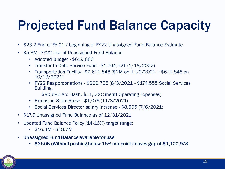## Projected Fund Balance Capacity

- \$23.2 End of FY 21 / beginning of FY22 Unassigned Fund Balance Estimate
- \$5.3M FY22 Use of Unassigned Fund Balance
	- Adopted Budget \$619,886
	- Transfer to Debt Service Fund \$1,764,621 (1/18/2022)
	- Transportation Facility \$2,611,848 (\$2M on 11/9/2021 + \$611,848 on 10/19/2021)
	- FY22 Reappropriations \$266,735 (8/3/2021 \$174,555 Social Services Building,

\$80,680 Arc Flash, \$11,500 Sheriff Operating Expenses)

- Extension State Raise \$1,076 (11/3/2021)
- Social Services Director salary increase \$8,505 (7/6/2021)
- \$17.9 Unassigned Fund Balance as of 12/31/2021
- Updated Fund Balance Policy (14-16%) target range:
	- \$16.4M \$18.7M
- Unassigned Fund Balance available for use:
	- \$350K (Without pushing below 15% midpoint) leaves gap of \$1,100,978

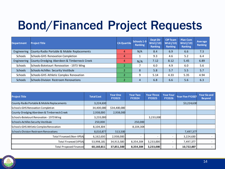### Bond/Financed Project Requests

| <b>Department</b> | <b>Project Title</b>                        | <b>CA Quartile</b> | Schools 1-9<br>Ranking | <b>Dept Dir</b><br>Wtd $(10)$<br><b>Ranking</b> | <b>CIP Team</b><br>Wtd $(10)$<br><b>Ranking</b> | <b>Plan Com</b><br>Wtd $(10)$<br><b>Ranking</b> | Average<br><b>Ranking</b> |
|-------------------|---------------------------------------------|--------------------|------------------------|-------------------------------------------------|-------------------------------------------------|-------------------------------------------------|---------------------------|
| Engineering       | County-Radio Portable & Mobile Replacements | 4                  | N/A                    | 8.4                                             | 6.9                                             | 6.6                                             | 7.3                       |
| Schools           | Schools-GHS Renovation Completion           | 4                  |                        | 9.3                                             | 4.6                                             | 5.2                                             | 6.4                       |
| Engineering       | County-Dredging Aberdeen & Timberneck Creek | 4                  | N/A                    | 7.12                                            | 8.12                                            | 5.45                                            | 6.89                      |
| Schools           | Schools-Botetourt Renovation - 1973 Wing    | 2                  |                        | 6.0                                             | 4.9                                             | 6.0                                             | 5.6                       |
| Schools           | Schools-Achilles Security Vestibule         | $\overline{2}$     | 8                      | 5.8                                             | 5.7                                             | 5.5                                             | 5.7                       |
| Schools           | Schools-GHS Athletic Complex Renovation     | $\overline{2}$     | 9                      | 5.14                                            | 4.33                                            | 5.35                                            | 4.94                      |
| Schools           | Schools-Division Restroom Renovations       | $\overline{2}$     | $\overline{4}$         | 6.8                                             | 6.6                                             | 5.6                                             | 6.3                       |

| <b>Project Title</b>                        | <b>Total Cost</b> | <b>Year One</b><br><b>FY2023</b> | <b>Year Two</b><br><b>FY2024</b> | <b>Year Three</b><br><b>FY2025</b> | <b>Year Four</b><br><b>FY2026</b> | <b>Year Five FY2027</b> | <b>Year Six and</b><br><b>Beyond</b> |
|---------------------------------------------|-------------------|----------------------------------|----------------------------------|------------------------------------|-----------------------------------|-------------------------|--------------------------------------|
| County-Radio Portable & Mobile Replacements | 3,224,630         |                                  |                                  |                                    |                                   | \$3,224,630             |                                      |
| Schools-GHS Renovation Completion           | 34,400,000        | \$34,400,000                     |                                  |                                    |                                   |                         |                                      |
| County-Dredging Aberdeen & Timberneck Creek | 2,938,000         | 2,938,000                        |                                  |                                    |                                   |                         |                                      |
| Schools-Botetourt Renovation - 1973 Wing    | 3,233,000         |                                  |                                  | 3,233,000                          |                                   |                         |                                      |
| Schools-Achilles Security Vestibule         | 250,000           |                                  | 250,000                          |                                    |                                   |                         |                                      |
| Schools-GHS Athletic Complex Renovation     | 8,104,304         |                                  | 8,104,304                        |                                    |                                   |                         |                                      |
| Schools-Division Restroom Renovations       | 8,010,877         | 513,500                          |                                  |                                    |                                   | 7,497,377               |                                      |
| Total Financed (Non-VPSA)                   | 6,162,630         | 2,938,000                        | $\overline{\phantom{0}}$         | $\overline{\phantom{a}}$           |                                   | 3,224,630               |                                      |
| Total Financed (VPSA)                       | 53,998,181        | 34,913,500                       | 8,354,304                        | 3,233,000                          |                                   | 7,497,377               |                                      |
| <b>Total Proposed Financed</b>              | 60,160,811        | 37,851,500                       | 8,354,304                        | 3,233,000                          |                                   | 10,722,007              |                                      |

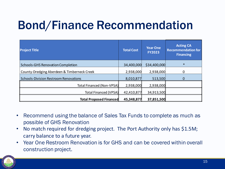#### Bond/Finance Recommendation

| <b>Project Title</b>                         | <b>Total Cost</b> | <b>Year One</b><br><b>FY2023</b> | <b>Acting CA</b><br><b>Recommendation for</b><br><b>Financing</b> |
|----------------------------------------------|-------------------|----------------------------------|-------------------------------------------------------------------|
| Schools-GHS Renovation Completion            | 34,400,000        | \$34,400,000                     | $\ast$                                                            |
| County-Dredging Aberdeen & Timberneck Creek  | 2,938,000         | 2,938,000                        | 0                                                                 |
| <b>Schools-Division Restroom Renovations</b> | 8,010,877         | 513,500                          |                                                                   |
| Total Financed (Non-VPSA)                    | 2,938,000         | 2,938,000                        |                                                                   |
| <b>Total Financed (VPSA)</b>                 | 42,410,877        | 34,913,500                       |                                                                   |
| <b>Total Proposed Financed</b>               | 45,348,877        | 37,851,500                       |                                                                   |

- Recommend using the balance of Sales Tax Funds to complete as much as possible of GHS Renovation
- No match required for dredging project. The Port Authority only has \$1.5M; carry balance to a future year.
- Year One Restroom Renovation is for GHS and can be covered within overall construction project.

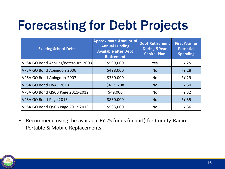## Forecasting for Debt Projects

| <b>Existing School Debt</b>          | <b>Approximate Amount of</b><br><b>Annual Funding</b><br><b>Available after Debt</b><br><b>Retirement</b> | <b>Debt Retirement</b><br><b>During 5 Year</b><br><b>Capital Plan</b> | <b>First Year for</b><br><b>Potential</b><br><b>Spending</b> |
|--------------------------------------|-----------------------------------------------------------------------------------------------------------|-----------------------------------------------------------------------|--------------------------------------------------------------|
| VPSA GO Bond Achilles/Botetourt 2003 | \$599,000                                                                                                 | <b>Yes</b>                                                            | <b>FY 25</b>                                                 |
| VPSA GO Bond Abingdon 2006           | \$498,000                                                                                                 | <b>No</b>                                                             | <b>FY 28</b>                                                 |
| VPSA GO Bond Abingdon 2007           | \$380,000                                                                                                 | <b>No</b>                                                             | <b>FY 29</b>                                                 |
| VPSA GO Bond HVAC 2013               | \$413,708                                                                                                 | <b>No</b>                                                             | <b>FY 30</b>                                                 |
| VPSA GO Bond QSCB Page 2011-2012     | \$49,000                                                                                                  | <b>No</b>                                                             | <b>FY 32</b>                                                 |
| VPSA GO Bond Page 2013               | \$830,000                                                                                                 | <b>No</b>                                                             | <b>FY 35</b>                                                 |
| VPSA GO Bond QSCB Page 2012-2013     | \$503,000                                                                                                 | No                                                                    | <b>FY 36</b>                                                 |

• Recommend using the available FY 25 funds (in part) for County-Radio Portable & Mobile Replacements

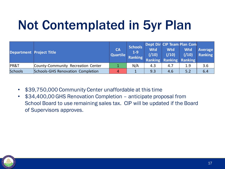## Not Contemplated in 5yr Plan

| Department Project Title |                                    | <b>CA</b><br>Quartile | <b>Schools</b><br>$1-9$<br>Ranking | <b>Wtd</b><br>(10) | Wtd<br>(10) | Dept Dir CIP Team Plan Com<br><b>Wtd</b><br>( / 10 )<br><b>Ranking Ranking Ranking</b> | <b>Average</b><br>Ranking |
|--------------------------|------------------------------------|-----------------------|------------------------------------|--------------------|-------------|----------------------------------------------------------------------------------------|---------------------------|
| PR&T                     | County-Community Recreation Center |                       | N/A                                | 4.3                | 4.7         | 1.9                                                                                    | 3.6                       |
| <b>Schools</b>           | Schools-GHS Renovation Completion  | 4                     |                                    | 9.3                | 4.6         | 5.2                                                                                    | 6.4                       |

- \$39,750,000 Community Center unaffordable at this time
- \$34,400,00 GHS Renovation Completion anticipate proposal from School Board to use remaining sales tax. CIP will be updated if the Board of Supervisors approves.

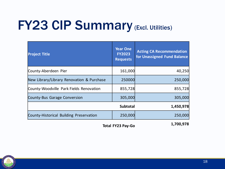## **FY23 CIP Summary (Excl. Utilities)**

| <b>Project Title</b>                      | <b>Year One</b><br><b>FY2023</b><br><b>Requests</b> | <b>Acting CA Recommendation</b><br>for Unassigned Fund Balance |
|-------------------------------------------|-----------------------------------------------------|----------------------------------------------------------------|
| County-Aberdeen Pier                      | 161,000                                             | 40,250                                                         |
| New Library/Library Renovation & Purchase | 250000                                              | 250,000                                                        |
| County-Woodville Park Fields Renovation   | 855,728                                             | 855,728                                                        |
| County-Bus Garage Conversion              | 305,000                                             | 305,000                                                        |
|                                           | <b>Subtotal</b>                                     | 1,450,978                                                      |
| County-Historical Building Preservation   | 250,000                                             | 250,000                                                        |
|                                           |                                                     | 1 700 Q70                                                      |

**Total FY23 Pay-Go 1,700,978** 

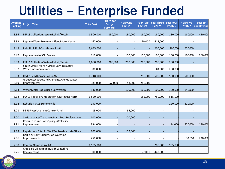#### Utilities – Enterprise Funded

| <b>Average</b><br><b>Ranking</b> | <b>Project Title</b>                                                  | <b>Total Cost</b> | <b>Prior Year</b><br>Carry-<br>Forward | <b>Year One</b><br><b>FY2023</b> | <b>Year Two</b><br><b>FY2024</b> | <b>Year Three</b><br><b>FY2025</b> | <b>Year Four</b><br><b>FY2026</b> | <b>Year Five</b><br><b>FY2027</b> | <b>Year Six</b><br>and Beyond |
|----------------------------------|-----------------------------------------------------------------------|-------------------|----------------------------------------|----------------------------------|----------------------------------|------------------------------------|-----------------------------------|-----------------------------------|-------------------------------|
| 8.86                             | PS#13 Collection System Rehab/Repair                                  | 1,500,000         | 150,000                                | 180,000                          | 180,000                          | 180,000                            | 180,000                           | 180,000                           | 450,000                       |
| 8.83                             | Replace Water Treatment Plant Motor Center                            | 462,000           |                                        |                                  | 50,000                           | 412,000                            |                                   |                                   |                               |
| 8.49                             | Rebuild PS#13-Courthouse South                                        | 2,645,000         |                                        |                                  |                                  | 200,000                            | 1,795,000                         | 650,000                           |                               |
| 8.47                             | Replacement of Old Meters                                             | 810,000           |                                        | 100,000                          | 150,000                          | 100,000                            | 100,000                           | 100,000                           | 260,000                       |
| 8.39                             | PS#11 Collection System Rehab/Repair                                  | 1,000,000         | 200,000                                | 200,000                          | 200,000                          | 200,000                            | 200,000                           |                                   |                               |
| 8.37                             | South Street, Martin Street, Carriage Court<br>Waterline Improvements | 300,000           |                                        |                                  |                                  | 40,000                             | 260,000                           |                                   |                               |
| 8.33                             | Radio Read Conversion to AMI                                          | 1,718,000         |                                        |                                  | 210,000                          | 500,000                            | 500,000                           | 508,000                           |                               |
| 8.19                             | Gloucester Street and Clements Avenue Water<br>Improvements           | 381,000           | 52,000                                 | 43,000                           | 286,000                          |                                    |                                   |                                   |                               |
| 8.14                             | Water Meter Radio Read Conversion                                     | 540,000           |                                        | 100,000                          | 100,000                          | 100,000                            | 100,000                           | 140,000                           |                               |
| 8.13                             | PS#11 Rebuild Pump Station-Courthouse North                           | 1,520,000         |                                        |                                  | 155,000                          | 750,000                            | 615,000                           |                                   |                               |
| 8.12                             | Rebuild PS#12-Summerville                                             | 930,000           |                                        |                                  |                                  |                                    | 120,000                           | 810,000                           |                               |
| 8.08                             | PS #15 Replacement Control Panel                                      | 85,000            |                                        | 85,000                           |                                  |                                    |                                   |                                   |                               |
| 8.00                             | Surface Water Treatment Plant Roof Replacement                        | 100,000           |                                        | 100,000                          |                                  |                                    |                                   |                                   |                               |
| 7.91                             | Cedar Lake and Holly Springs Waterline<br>Replacement                 | 834,000           |                                        |                                  |                                  |                                    | 94,000                            | 550,000                           | 190,000                       |
| 7.88                             | Repair Leak Filter #1 Wall/Replace Media in Filters                   | 102,000           |                                        | 102,000                          |                                  |                                    |                                   |                                   |                               |
| 7.86                             | Berkeley Point Subdivision Waterline<br>Improvements                  | 250,000           |                                        |                                  |                                  |                                    |                                   | 30,000                            | 220,000                       |
| 7.80                             | Reverse Osmosis Well #3                                               | 1,135,000         |                                        |                                  |                                  | 200,000                            | 935,000                           |                                   |                               |
| 7.76                             | Chiskiake Village Subdivision Waterline<br>Replacement                | 500,000           |                                        |                                  | 57,000                           | 443,000                            |                                   |                                   |                               |

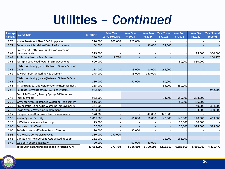#### Utilities – *Continued*

| <b>Ranking</b> | Average Project Title                                          | <b>Total Cost</b> | <b>Prior Year</b><br><b>Carry-Forward</b> | <b>Year One</b><br><b>FY2023</b> | <b>Year Two</b><br><b>FY2024</b> | <b>Year Three</b><br><b>FY2025</b> | <b>Year Four</b><br><b>FY2026</b> | <b>Year Five</b><br><b>FY2027</b> | <b>Year Six and</b><br><b>Beyond</b> |
|----------------|----------------------------------------------------------------|-------------------|-------------------------------------------|----------------------------------|----------------------------------|------------------------------------|-----------------------------------|-----------------------------------|--------------------------------------|
| 7.74           | Water Treatment Plant SCADA Upgrade                            | 220,000           | 100,000                                   | 120,000                          |                                  |                                    |                                   |                                   |                                      |
| 7.71           | Bellehaven Subdivision Waterline Replacement                   | 154,000           |                                           |                                  | 30,000                           | 124,000                            |                                   |                                   |                                      |
| 7.69           | Riverdale & Holly Cove Subdivision Waterline<br>Improvements   | 325,000           |                                           |                                  |                                  |                                    |                                   | 25,000                            | 300,000                              |
| 7.68           | Sodium Hydroxide Feed System                                   | 280,000           | 19,730                                    |                                  |                                  |                                    |                                   |                                   | 260,270                              |
| 7.68           | Terrapin Cove Road Waterline Improvements                      | 600,000           |                                           |                                  |                                  |                                    | 50,000                            | 550,000                           |                                      |
| 7.65           | GWMH Widening (Sewer) between Guinea & Camp<br>Okee            | 213,000           |                                           | 35,000                           | 10,000                           | 168,000                            |                                   |                                   |                                      |
| 7.62           | Sawgrass Point Waterline Replacement                           | 175,000           |                                           | 35,000                           | 140,000                          |                                    |                                   |                                   |                                      |
| 7.61           | GWMH Widening (Water) between Guinea & Camp<br><b>Okee</b>     | 130,000           |                                           | 50,000                           |                                  | 80,000                             |                                   |                                   |                                      |
| 7.61           | Tillage Heights Subdivision Waterline Replacement              | 265,000           |                                           |                                  |                                  | 35,000                             | 230,000                           |                                   |                                      |
| 7.58           | Relocate Permanganate & PAC Feed Systems                       | 942,200           |                                           |                                  |                                  |                                    |                                   |                                   | 942,200                              |
| 7.43           | Belroi Rd/Main St/Roaring Springs Rd Waterline<br>Improvements | 952,000           |                                           |                                  |                                  | 94,000                             | 650,000                           | 208,000                           |                                      |
| 7.39           | Wyncote Avenue Extended Waterline Replacement                  | 516,000           |                                           |                                  |                                  |                                    | 80,000                            | 436,000                           |                                      |
| 7.37           | Azalea Pt Rd & Shane Rd Waterline Improvements                 | 344,000           |                                           |                                  |                                  |                                    |                                   | 40,000                            | 304,000                              |
| 7.32           | Lewis Avenue Waterline Replacement                             | 553,000           |                                           |                                  |                                  |                                    |                                   | 63,000                            | 490,000                              |
| 7.27           | Independence Road Waterline Improvements                       | 370,000           |                                           |                                  | 42,000                           | 328,000                            |                                   |                                   |                                      |
| 6.99           | <b>Water System Security</b>                                   | 1,015,000         |                                           | 66,000                           | 60,000                           | 140,000                            | 140,000                           | 140,000                           | 469,000                              |
| 6.16           | N Waltons Lane Waterline Loop                                  | 75,000            |                                           |                                  |                                  |                                    | 25,000                            | 50,000                            |                                      |
| 6.06           | Relocate Utility Yard                                          | 1,100,000         |                                           |                                  |                                  |                                    | 50,000                            | 525,000                           | 525,000                              |
| 6.05           | Refurbish Vertical Turbine Pumps/Motors                        | 90,000            |                                           | 90,000                           |                                  |                                    |                                   |                                   |                                      |
| 5.98           | Radio Read Conversion to AMR                                   | 250,000           | 250,000                                   |                                  |                                  |                                    |                                   |                                   |                                      |
| 5.66           | Dunston Hallto Riverbend Apts Waterline Loop                   | 182,000           |                                           |                                  |                                  | 21,000                             | 161,000                           |                                   |                                      |
| 5.49           | Lead Service Line Inventory                                    | 90,000            |                                           | 60,000                           | 30,000                           |                                    |                                   |                                   |                                      |
|                | <b>Total Utilities (Enterprise Funded Through FY27)</b>        | 23,653,200        | 771,730                                   | 1,366,000                        | 1,700,000                        | 4,115,000                          | 6,285,000                         | 5,005,000                         | 4,410,470                            |

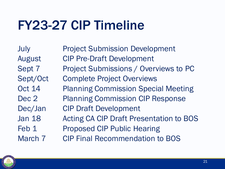## FY23-27 CIP Timeline

July Project Submission Development August CIP Pre-Draft Development Sept 7 Project Submissions / Overviews to PC Sept/Oct Complete Project Overviews Oct 14 Planning Commission Special Meeting Dec 2 Planning Commission CIP Response Dec/Jan CIP Draft Development Jan 18 Acting CA CIP Draft Presentation to BOS Feb 1 Proposed CIP Public Hearing March 7 CIP Final Recommendation to BOS